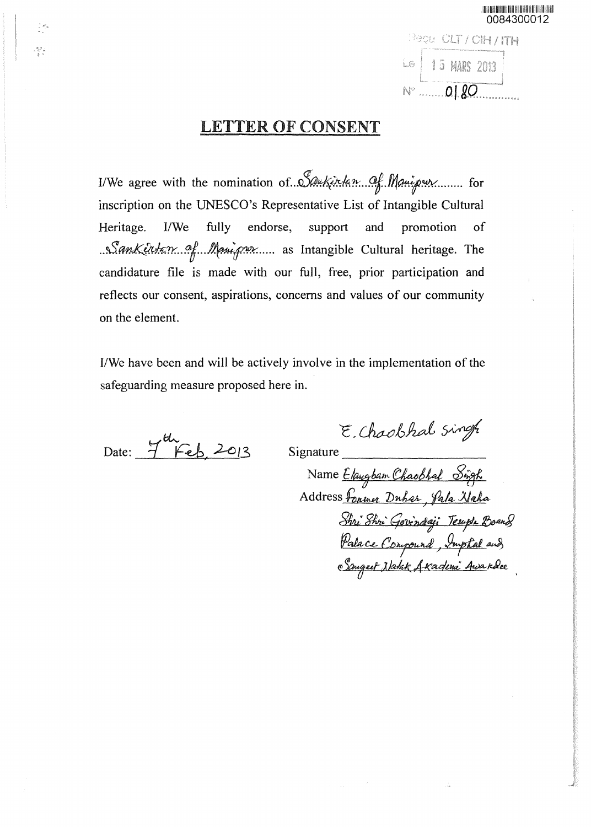0084300012 Recu CLT / CIH / ITH Le  $\left[\begin{array}{ccc} 15 & \text{MARS} & 2013 \\ \hline 0 & \text{O} & \text{O} \end{array}\right]$ 

## **LETTER OF CONSENT**

I/We agree with the nomination of ... Saukinkan Of Manipur inscription on the UNESCO's Representative List of Intangible Cultural endorse, I/We fully support Heritage. and promotion of Sankertam of Manipur as Intangible Cultural heritage. The candidature file is made with our full, free, prior participation and reflects our consent, aspirations, concerns and values of our community on the element.

I/We have been and will be actively involve in the implementation of the safeguarding measure proposed here in.

Date: 7<sup>th</sup> Feb, 2013

ą,

Signature

Name Elaugbam Chaobhal Singh<br>Address Fonner Duhar, Pala Naha Shri Shri Govindaji Terupu Boand<br>Palace Compound, Imptal aud<br>Sanged Natak Akademi Awardee

E. Chaobhal singh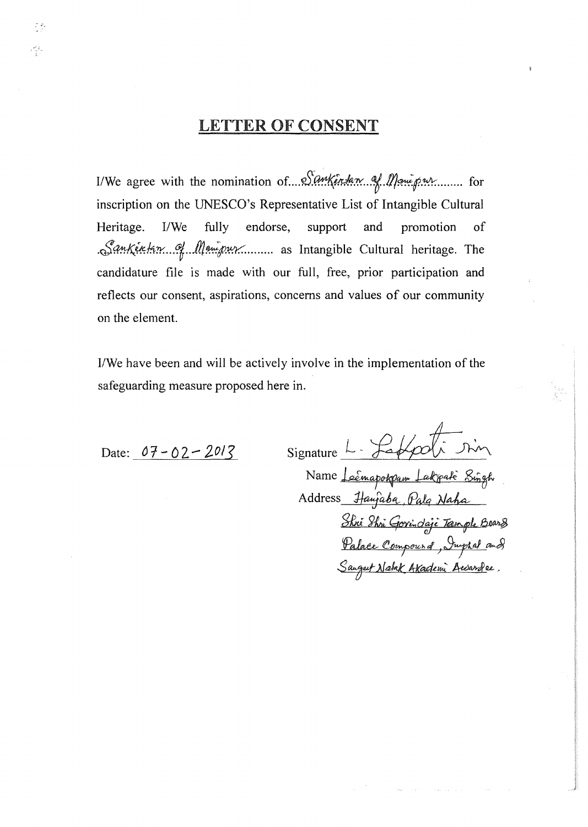## **LETTER OF CONSENT**

I/We agree with the nomination of.... Sankentan of Manu pur......... for inscription on the UNESCO's Representative List of Intangible Cultural Heritage.  $I/We$ fully endorse, support and promotion of Sankertan of Manipur as Intangible Cultural heritage. The candidature file is made with our full, free, prior participation and reflects our consent, aspirations, concerns and values of our community on the element.

I/We have been and will be actively involve in the implementation of the safeguarding measure proposed here in.

Date:  $07 - 02 - 2013$ 

 $\frac{1}{2}$ 

سائيس<br>ترين

Signature  $L - \frac{1}{6}$  $\overline{\mathcal{A}}$ Name <u>Leémapokpam Lakpaté Sing</u>h<br>Address *Ha*wjaba, Pala Naha Shri Shri Gorindaji Tample Bearg<br>Palace Compourd, Juptal and<br>Saugut Natak Akademi Awardee.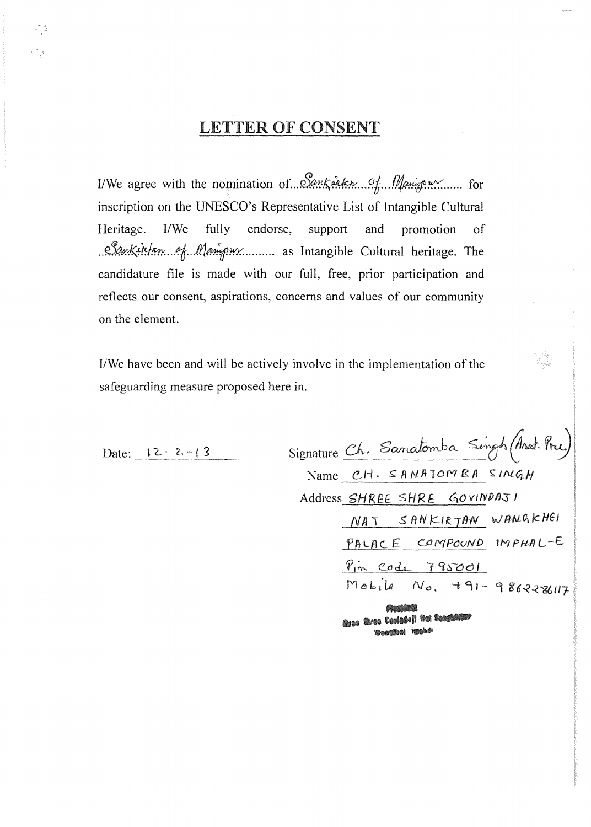## **LETTER OF CONSENT**

I/We agree with the nomination of Sankinken of Manigram for inscription on the UNESCO's Representative List of Intangible Cultural Heritage.  $I/We$ fully endorse, support and promotion of Sankintan of Manipux ......... as Intangible Cultural heritage. The candidature file is made with our full, free, prior participation and reflects our consent, aspirations, concerns and values of our community on the element.

I/We have been and will be actively involve in the implementation of the safeguarding measure proposed here in.

| Date: $12 - 2 - 3$ | Signature Ch. Sanatomba Singh (Anot. Pre.)  |
|--------------------|---------------------------------------------|
|                    | Name CH. SANATOMBA SINGH                    |
|                    | Address SHREE SHRE GOVINDAJI                |
|                    | $NAT$ SANKIRTAN WANGKHEI                    |
|                    | PALACE COMPOUND IMPHAL-E                    |
|                    | Pin Code 795001                             |
|                    | $Mohile No. 791-986228117$                  |
|                    | Maddon<br>Assa Real Cadadall But Conditions |

eranden lenns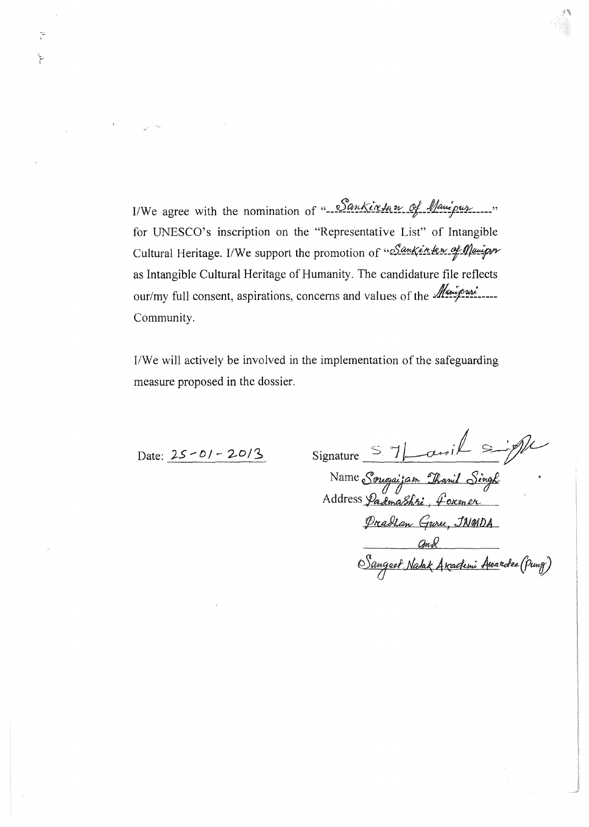I/We agree with the nomination of "-Sankiretan of Manipur for UNESCO's inscription on the "Representative List" of Intangible Cultural Heritage. I/We support the promotion of "Sanker ten of Manipur as Intangible Cultural Heritage of Humanity. The candidature file reflects our/my full consent, aspirations, concerns and values of the *Manipuri* Community.

I/We will actively be involved in the implementation of the safeguarding measure proposed in the dossier.

Date:  $25 - 01 - 20/3$ 

 $\tilde{\zeta}$ 

ţ

Signature S 7 Lawil Signature

Name Sougaijam Thanil Singh<br>Address Padmashri, former Preachan Gure, JNGIDA Sangeet Natak Arademi Awardee (Pung)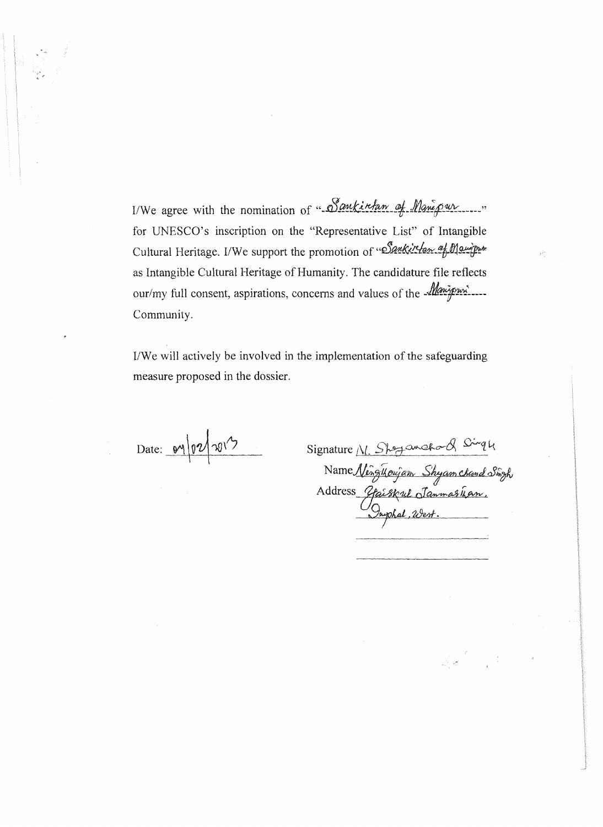I/We agree with the nomination of "Sankirfan of Manipur...." for UNESCO's inscription on the "Representative List" of Intangible Cultural Heritage. I/We support the promotion of "Sankirlan af Mangre as Intangible Cultural Heritage of Humanity. The candidature file reflects our/my full consent, aspirations, concerns and values of the *Manipur* Community.

I/We will actively be involved in the implementation of the safeguarding measure proposed in the dossier.

Date: 04/02/2013

| Signature N. Sheyamahord Singly             |
|---------------------------------------------|
| Name Ningikoujam Shyam chand Singh          |
|                                             |
| Address Gaiskul Janmaskan.<br>Inphal, West. |
|                                             |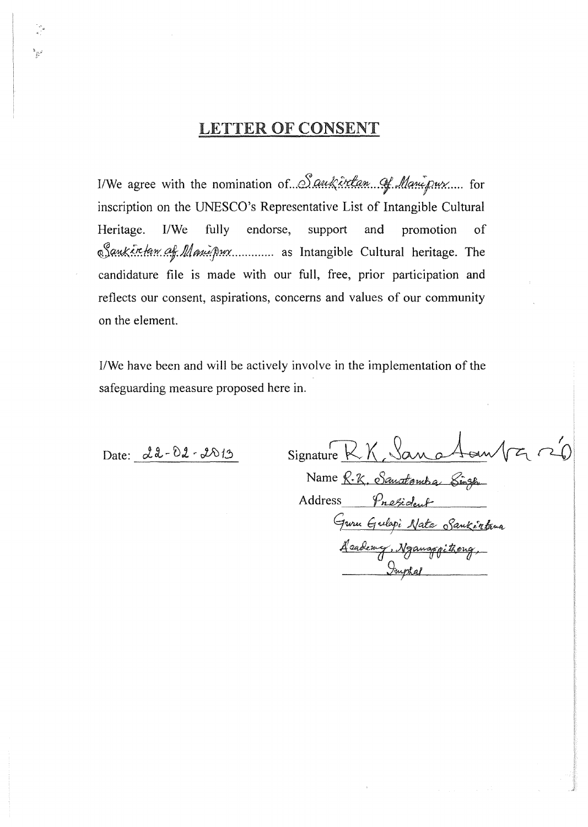## **LETTER OF CONSENT**

I/We agree with the nomination of Saukirtan of Manipux.... for inscription on the UNESCO's Representative List of Intangible Cultural Heritage. I/We fully endorse, support and promotion of Sauksretam af Manipux............ as Intangible Cultural heritage. The candidature file is made with our full, free, prior participation and reflects our consent, aspirations, concerns and values of our community on the element.

I/We have been and will be actively involve in the implementation of the safeguarding measure proposed here in.

Date: 22-02-2013

 $177020$ Signature RK, Sano

Name R.K. Sanatomba Singh Address President Guru Gulapi Nata Sankéntana <u>Academy, Nganaggithong,</u>